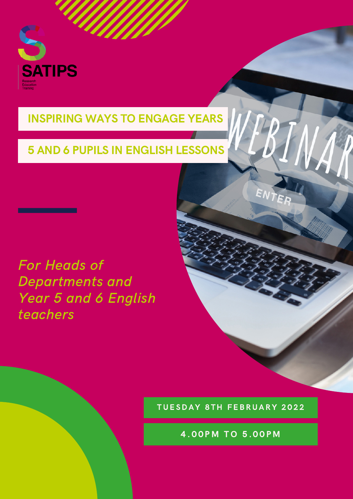

## INSPIRING WAYS TO ENGAGE YEARS

# 5 AND 6 PUPILS IN ENGLISH LESSONS

For Heads of Departments and Year 5 and 6 English teachers

#### TUESDAY 8TH FEBRUARY 2022

ENTE

4.00 PM TO 5.00 PM